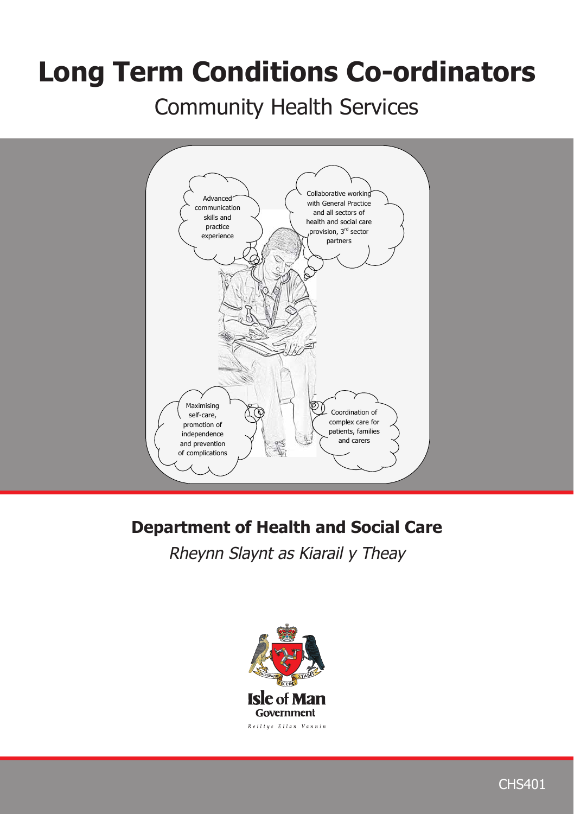# **Long Term Conditions Co-ordinators**

Community Health Services Community Health Services



## **Department of Health and Social Care**

*Rheynn Slaynt as Kiarail y Theay*

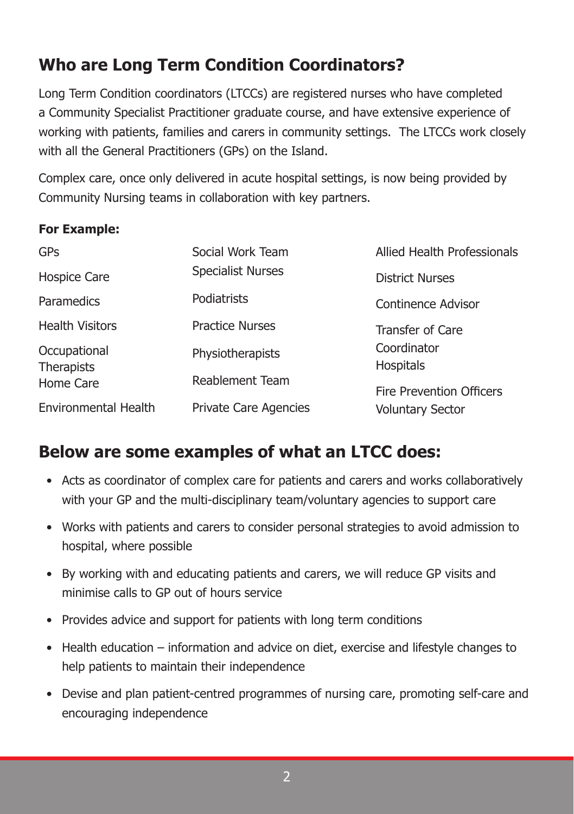## **Who are Long Term Condition Coordinators?**

Long Term Condition coordinators (LTCCs) are registered nurses who have completed a Community Specialist Practitioner graduate course, and have extensive experience of working with patients, families and carers in community settings. The LTCCs work closely with all the General Practitioners (GPs) on the Island.

Complex care, once only delivered in acute hospital settings, is now being provided by Community Nursing teams in collaboration with key partners.

#### **For Example:**

| GPs                               | Social Work Team             | Allied Health Professionals     |
|-----------------------------------|------------------------------|---------------------------------|
| Hospice Care                      | <b>Specialist Nurses</b>     | <b>District Nurses</b>          |
| Paramedics                        | Podiatrists                  | Continence Advisor              |
| <b>Health Visitors</b>            | <b>Practice Nurses</b>       | Transfer of Care                |
| Occupational<br><b>Therapists</b> | Physiotherapists             | Coordinator<br>Hospitals        |
| Home Care                         | Reablement Team              | <b>Fire Prevention Officers</b> |
| Environmental Health              | <b>Private Care Agencies</b> | Voluntary Sector                |

### **Below are some examples of what an LTCC does:**

- Acts as coordinator of complex care for patients and carers and works collaboratively with your GP and the multi-disciplinary team/voluntary agencies to support care
- Works with patients and carers to consider personal strategies to avoid admission to hospital, where possible
- By working with and educating patients and carers, we will reduce GP visits and minimise calls to GP out of hours service
- Provides advice and support for patients with long term conditions
- Health education information and advice on diet, exercise and lifestyle changes to help patients to maintain their independence
- Devise and plan patient-centred programmes of nursing care, promoting self-care and encouraging independence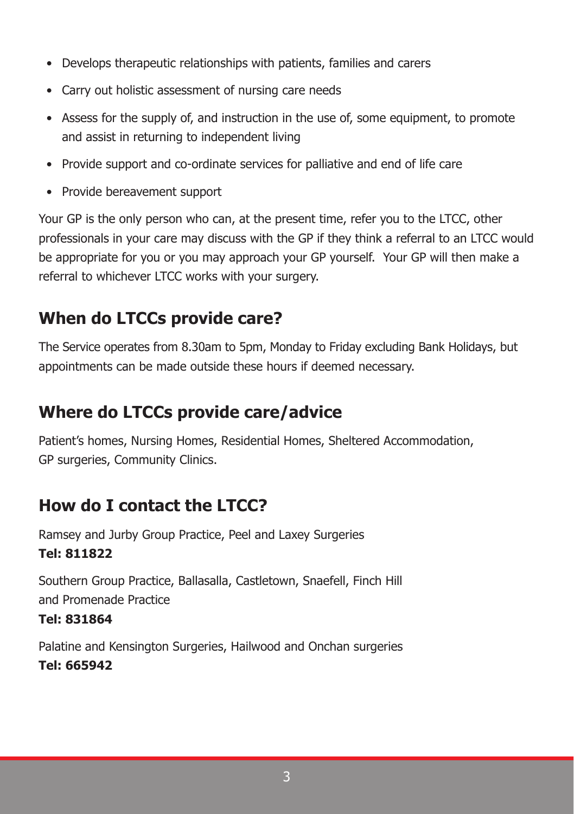- Develops therapeutic relationships with patients, families and carers
- Carry out holistic assessment of nursing care needs
- Assess for the supply of, and instruction in the use of, some equipment, to promote and assist in returning to independent living
- Provide support and co-ordinate services for palliative and end of life care
- Provide bereavement support

Your GP is the only person who can, at the present time, refer you to the LTCC, other professionals in your care may discuss with the GP if they think a referral to an LTCC would be appropriate for you or you may approach your GP yourself. Your GP will then make a referral to whichever LTCC works with your surgery.

## **When do LTCCs provide care?**

The Service operates from 8.30am to 5pm, Monday to Friday excluding Bank Holidays, but appointments can be made outside these hours if deemed necessary.

## **Where do LTCCs provide care/advice**

Patient's homes, Nursing Homes, Residential Homes, Sheltered Accommodation, GP surgeries, Community Clinics.

## **How do I contact the LTCC?**

Ramsey and Jurby Group Practice, Peel and Laxey Surgeries **Tel: 811822**

Southern Group Practice, Ballasalla, Castletown, Snaefell, Finch Hill and Promenade Practice **Tel: 831864**

Palatine and Kensington Surgeries, Hailwood and Onchan surgeries **Tel: 665942**